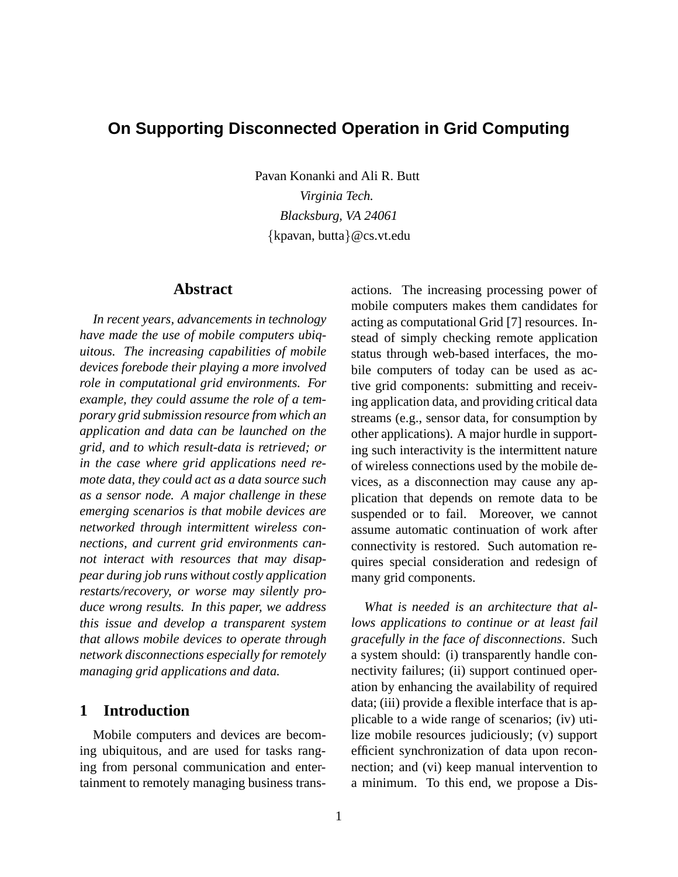# **On Supporting Disconnected Operation in Grid Computing**

Pavan Konanki and Ali R. Butt *Virginia Tech. Blacksburg, VA 24061* {kpavan, butta}@cs.vt.edu

# **Abstract**

*In recent years, advancements in technology have made the use of mobile computers ubiquitous. The increasing capabilities of mobile devices forebode their playing a more involved role in computational grid environments. For example, they could assume the role of a temporary grid submission resource from which an application and data can be launched on the grid, and to which result-data is retrieved; or in the case where grid applications need remote data, they could act as a data source such as a sensor node. A major challenge in these emerging scenarios is that mobile devices are networked through intermittent wireless connections, and current grid environments cannot interact with resources that may disappear during job runs without costly application restarts/recovery, or worse may silently produce wrong results. In this paper, we address this issue and develop a transparent system that allows mobile devices to operate through network disconnections especially for remotely managing grid applications and data.*

# **1 Introduction**

Mobile computers and devices are becoming ubiquitous, and are used for tasks ranging from personal communication and entertainment to remotely managing business trans-

actions. The increasing processing power of mobile computers makes them candidates for acting as computational Grid [7] resources. Instead of simply checking remote application status through web-based interfaces, the mobile computers of today can be used as active grid components: submitting and receiving application data, and providing critical data streams (e.g., sensor data, for consumption by other applications). A major hurdle in supporting such interactivity is the intermittent nature of wireless connections used by the mobile devices, as a disconnection may cause any application that depends on remote data to be suspended or to fail. Moreover, we cannot assume automatic continuation of work after connectivity is restored. Such automation requires special consideration and redesign of many grid components.

*What is needed is an architecture that allows applications to continue or at least fail gracefully in the face of disconnections*. Such a system should: (i) transparently handle connectivity failures; (ii) support continued operation by enhancing the availability of required data; (iii) provide a flexible interface that is applicable to a wide range of scenarios; (iv) utilize mobile resources judiciously; (v) support efficient synchronization of data upon reconnection; and (vi) keep manual intervention to a minimum. To this end, we propose a Dis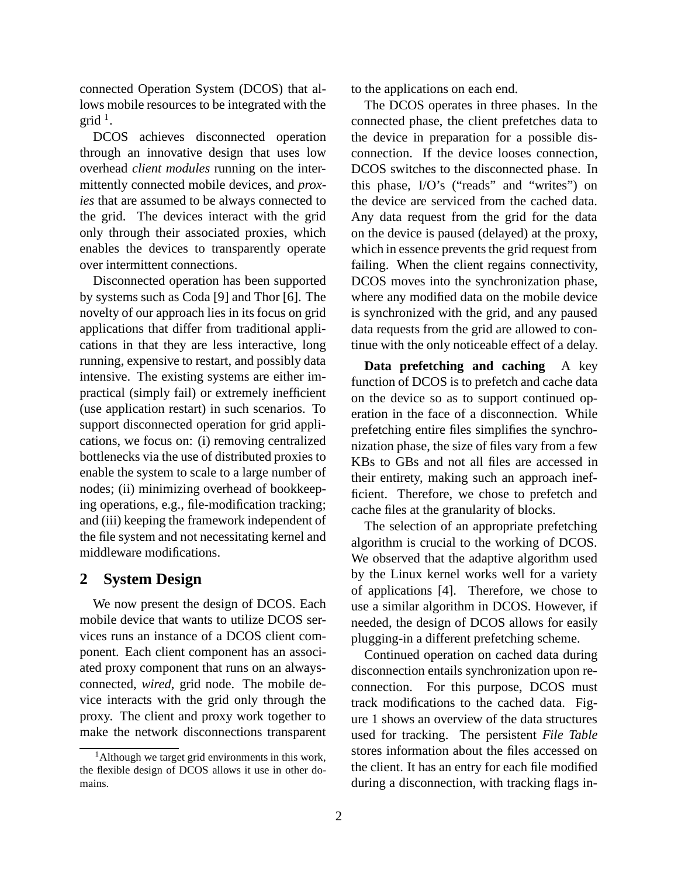connected Operation System (DCOS) that allows mobile resources to be integrated with the  $grid$ <sup>1</sup>.

DCOS achieves disconnected operation through an innovative design that uses low overhead *client modules* running on the intermittently connected mobile devices, and *proxies* that are assumed to be always connected to the grid. The devices interact with the grid only through their associated proxies, which enables the devices to transparently operate over intermittent connections.

Disconnected operation has been supported by systems such as Coda [9] and Thor [6]. The novelty of our approach lies in its focus on grid applications that differ from traditional applications in that they are less interactive, long running, expensive to restart, and possibly data intensive. The existing systems are either impractical (simply fail) or extremely inefficient (use application restart) in such scenarios. To support disconnected operation for grid applications, we focus on: (i) removing centralized bottlenecks via the use of distributed proxies to enable the system to scale to a large number of nodes; (ii) minimizing overhead of bookkeeping operations, e.g., file-modification tracking; and (iii) keeping the framework independent of the file system and not necessitating kernel and middleware modifications.

#### **2 System Design**

We now present the design of DCOS. Each mobile device that wants to utilize DCOS services runs an instance of a DCOS client component. Each client component has an associated proxy component that runs on an alwaysconnected, *wired*, grid node. The mobile device interacts with the grid only through the proxy. The client and proxy work together to make the network disconnections transparent to the applications on each end.

The DCOS operates in three phases. In the connected phase, the client prefetches data to the device in preparation for a possible disconnection. If the device looses connection, DCOS switches to the disconnected phase. In this phase, I/O's ("reads" and "writes") on the device are serviced from the cached data. Any data request from the grid for the data on the device is paused (delayed) at the proxy, which in essence prevents the grid request from failing. When the client regains connectivity, DCOS moves into the synchronization phase, where any modified data on the mobile device is synchronized with the grid, and any paused data requests from the grid are allowed to continue with the only noticeable effect of a delay.

**Data prefetching and caching** A key function of DCOS is to prefetch and cache data on the device so as to support continued operation in the face of a disconnection. While prefetching entire files simplifies the synchronization phase, the size of files vary from a few KBs to GBs and not all files are accessed in their entirety, making such an approach inefficient. Therefore, we chose to prefetch and cache files at the granularity of blocks.

The selection of an appropriate prefetching algorithm is crucial to the working of DCOS. We observed that the adaptive algorithm used by the Linux kernel works well for a variety of applications [4]. Therefore, we chose to use a similar algorithm in DCOS. However, if needed, the design of DCOS allows for easily plugging-in a different prefetching scheme.

Continued operation on cached data during disconnection entails synchronization upon reconnection. For this purpose, DCOS must track modifications to the cached data. Figure 1 shows an overview of the data structures used for tracking. The persistent *File Table* stores information about the files accessed on the client. It has an entry for each file modified during a disconnection, with tracking flags in-

 $<sup>1</sup>$ Although we target grid environments in this work,</sup> the flexible design of DCOS allows it use in other domains.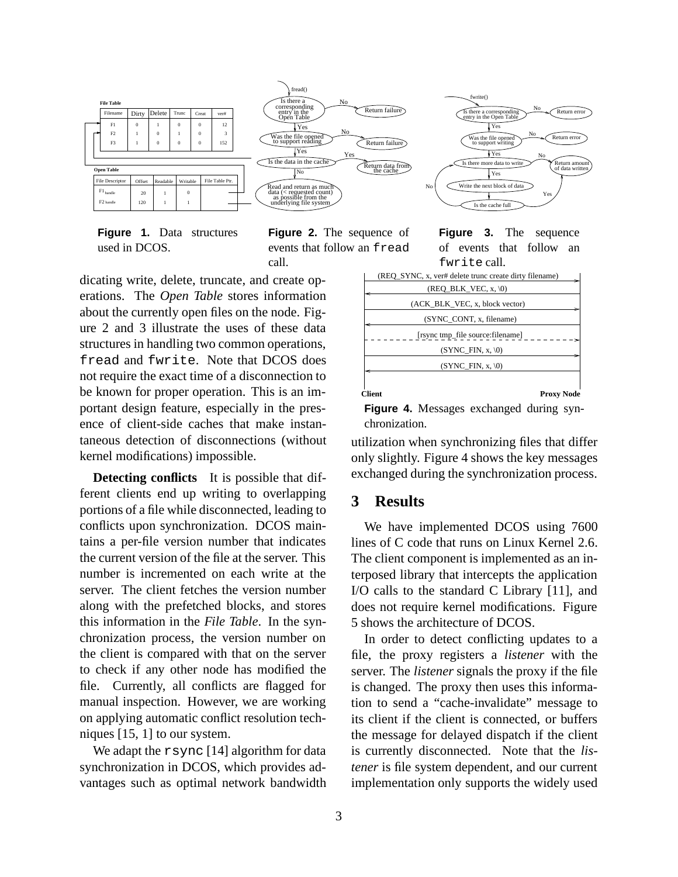

**Figure 1.** Data structures used in DCOS.

**Figure 2.** The sequence of events that follow an fread call.

dicating write, delete, truncate, and create operations. The *Open Table* stores information about the currently open files on the node. Figure 2 and 3 illustrate the uses of these data structures in handling two common operations, fread and fwrite. Note that DCOS does not require the exact time of a disconnection to be known for proper operation. This is an important design feature, especially in the presence of client-side caches that make instantaneous detection of disconnections (without kernel modifications) impossible.

**Detecting conflicts** It is possible that different clients end up writing to overlapping portions of a file while disconnected, leading to conflicts upon synchronization. DCOS maintains a per-file version number that indicates the current version of the file at the server. This number is incremented on each write at the server. The client fetches the version number along with the prefetched blocks, and stores this information in the *File Table*. In the synchronization process, the version number on the client is compared with that on the server to check if any other node has modified the file. Currently, all conflicts are flagged for manual inspection. However, we are working on applying automatic conflict resolution techniques [15, 1] to our system.

We adapt the rsync [14] algorithm for data synchronization in DCOS, which provides advantages such as optimal network bandwidth **Figure 3.** The sequence of events that follow an fwrite call.

|               | (REO SYNC, x, ver# delete trunc create dirty filename) |
|---------------|--------------------------------------------------------|
|               | $(REQ_BLK_VEC, x, \langle 0 \rangle)$                  |
|               | (ACK BLK VEC, x, block vector)                         |
|               | (SYNC_CONT, x, filename)                               |
|               | [rsync tmp_file source:filename]                       |
|               | $(SYNC$ FIN, x, $\setminus 0$                          |
|               | $(SYNC$ FIN, x, $\setminus 0$                          |
|               |                                                        |
| <b>Client</b> | Proxy Node                                             |

**Figure 4.** Messages exchanged during synchronization.

utilization when synchronizing files that differ only slightly. Figure 4 shows the key messages exchanged during the synchronization process.

# **3 Results**

We have implemented DCOS using 7600 lines of C code that runs on Linux Kernel 2.6. The client component is implemented as an interposed library that intercepts the application I/O calls to the standard C Library [11], and does not require kernel modifications. Figure 5 shows the architecture of DCOS.

In order to detect conflicting updates to a file, the proxy registers a *listener* with the server. The *listener* signals the proxy if the file is changed. The proxy then uses this information to send a "cache-invalidate" message to its client if the client is connected, or buffers the message for delayed dispatch if the client is currently disconnected. Note that the *listener* is file system dependent, and our current implementation only supports the widely used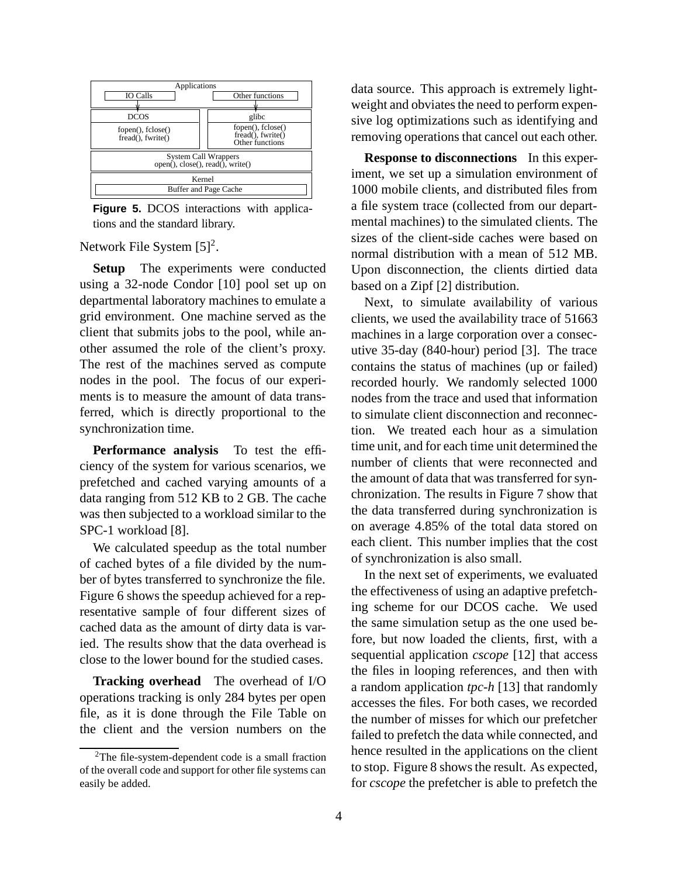

**Figure 5.** DCOS interactions with applications and the standard library.

Network File System  $[5]^2$ .

**Setup** The experiments were conducted using a 32-node Condor [10] pool set up on departmental laboratory machines to emulate a grid environment. One machine served as the client that submits jobs to the pool, while another assumed the role of the client's proxy. The rest of the machines served as compute nodes in the pool. The focus of our experiments is to measure the amount of data transferred, which is directly proportional to the synchronization time.

**Performance analysis** To test the efficiency of the system for various scenarios, we prefetched and cached varying amounts of a data ranging from 512 KB to 2 GB. The cache was then subjected to a workload similar to the SPC-1 workload [8].

We calculated speedup as the total number of cached bytes of a file divided by the number of bytes transferred to synchronize the file. Figure 6 shows the speedup achieved for a representative sample of four different sizes of cached data as the amount of dirty data is varied. The results show that the data overhead is close to the lower bound for the studied cases.

**Tracking overhead** The overhead of I/O operations tracking is only 284 bytes per open file, as it is done through the File Table on the client and the version numbers on the data source. This approach is extremely lightweight and obviates the need to perform expensive log optimizations such as identifying and removing operations that cancel out each other.

**Response to disconnections** In this experiment, we set up a simulation environment of 1000 mobile clients, and distributed files from a file system trace (collected from our departmental machines) to the simulated clients. The sizes of the client-side caches were based on normal distribution with a mean of 512 MB. Upon disconnection, the clients dirtied data based on a Zipf [2] distribution.

Next, to simulate availability of various clients, we used the availability trace of 51663 machines in a large corporation over a consecutive 35-day (840-hour) period [3]. The trace contains the status of machines (up or failed) recorded hourly. We randomly selected 1000 nodes from the trace and used that information to simulate client disconnection and reconnection. We treated each hour as a simulation time unit, and for each time unit determined the number of clients that were reconnected and the amount of data that was transferred for synchronization. The results in Figure 7 show that the data transferred during synchronization is on average 4.85% of the total data stored on each client. This number implies that the cost of synchronization is also small.

In the next set of experiments, we evaluated the effectiveness of using an adaptive prefetching scheme for our DCOS cache. We used the same simulation setup as the one used before, but now loaded the clients, first, with a sequential application *cscope* [12] that access the files in looping references, and then with a random application *tpc-h* [13] that randomly accesses the files. For both cases, we recorded the number of misses for which our prefetcher failed to prefetch the data while connected, and hence resulted in the applications on the client to stop. Figure 8 shows the result. As expected, for *cscope* the prefetcher is able to prefetch the

<sup>2</sup>The file-system-dependent code is a small fraction of the overall code and support for other file systems can easily be added.